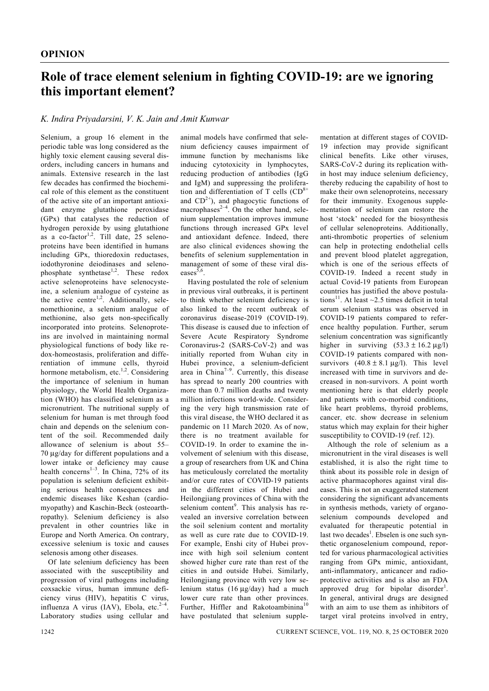## **Role of trace element selenium in fighting COVID-19: are we ignoring this important element?**

## *K. Indira Priyadarsini, V. K. Jain and Amit Kunwar*

Selenium, a group 16 element in the periodic table was long considered as the highly toxic element causing several disorders, including cancers in humans and animals. Extensive research in the last few decades has confirmed the biochemical role of this element as the constituent of the active site of an important antioxidant enzyme glutathione peroxidase (GPx) that catalyses the reduction of hydrogen peroxide by using glutathione as a co-factor<sup>1,2</sup>. Till date,  $25$  selenoproteins have been identified in humans including GPx, thioredoxin reductases, iodothyronine deiodinases and selenophosphate synthetase<sup>1,2</sup>. These redox active selenoproteins have selenocysteine, a selenium analogue of cysteine as the active centre<sup>1,2</sup>. Additionally, selenomethionine, a selenium analogue of methionine, also gets non-specifically incorporated into proteins. Selenoproteins are involved in maintaining normal physiological functions of body like redox-homeostasis, proliferation and differentiation of immune cells, thyroid hormone metabolism, etc.<sup>1,2</sup>. Considering the importance of selenium in human physiology, the World Health Organization (WHO) has classified selenium as a micronutrient. The nutritional supply of selenium for human is met through food chain and depends on the selenium content of the soil. Recommended daily allowance of selenium is about 55– 70 μg/day for different populations and a lower intake or deficiency may cause health concerns<sup>1-3</sup>. In China, 72% of its population is selenium deficient exhibiting serious health consequences and endemic diseases like Keshan (cardiomyopathy) and Kaschin-Beck (osteoarthropathy). Selenium deficiency is also prevalent in other countries like in Europe and North America. On contrary, excessive selenium is toxic and causes selenosis among other diseases.

 Of late selenium deficiency has been associated with the susceptibility and progression of viral pathogens including coxsackie virus, human immune deficiency virus (HIV), hepatitis C virus, influenza A virus  $(IAV)$ , Ebola, etc.<sup>2-4</sup> Laboratory studies using cellular and

animal models have confirmed that selenium deficiency causes impairment of immune function by mechanisms like inducing cytotoxicity in lymphocytes, reducing production of antibodies (IgG and IgM) and suppressing the proliferation and differentiation of T cells  $(CD<sup>8+</sup>$ and  $CD^{2+}$ ), and phagocytic functions of macrophases $^{2-4}$ . On the other hand, selenium supplementation improves immune functions through increased GPx level and antioxidant defence. Indeed, there are also clinical evidences showing the benefits of selenium supplementation in management of some of these viral diseases $5,6$ 

 Having postulated the role of selenium in previous viral outbreaks, it is pertinent to think whether selenium deficiency is also linked to the recent outbreak of coronavirus disease-2019 (COVID-19). This disease is caused due to infection of Severe Acute Respiratory Syndrome Coronavirus-2 (SARS-CoV-2) and was initially reported from Wuhan city in Hubei province, a selenium-deficient area in China<sup>7-9</sup>. Currently, this disease has spread to nearly 200 countries with more than 0.7 million deaths and twenty million infections world-wide. Considering the very high transmission rate of this viral disease, the WHO declared it as pandemic on 11 March 2020. As of now, there is no treatment available for COVID-19. In order to examine the involvement of selenium with this disease, a group of researchers from UK and China has meticulously correlated the mortality and/or cure rates of COVID-19 patients in the different cities of Hubei and Heilongjiang provinces of China with the selenium content<sup>9</sup>. This analysis has revealed an inversive correlation between the soil selenium content and mortality as well as cure rate due to COVID-19. For example, Enshi city of Hubei province with high soil selenium content showed higher cure rate than rest of the cities in and outside Hubei. Similarly, Heilongjiang province with very low selenium status (16 μg/day) had a much lower cure rate than other provinces. Further, Hiffler and Rakotoambinina<sup>10</sup> have postulated that selenium supplementation at different stages of COVID-19 infection may provide significant clinical benefits. Like other viruses, SARS-CoV-2 during its replication within host may induce selenium deficiency, thereby reducing the capability of host to make their own selenoproteins, necessary for their immunity. Exogenous supplementation of selenium can restore the host 'stock' needed for the biosynthesis of cellular selenoproteins. Additionally, anti-thrombotic properties of selenium can help in protecting endothelial cells and prevent blood platelet aggregation, which is one of the serious effects of COVID-19. Indeed a recent study in actual Covid-19 patients from European countries has justified the above postulations<sup>11</sup>. At least  $\sim$ 2.5 times deficit in total serum selenium status was observed in COVID-19 patients compared to reference healthy population. Further, serum selenium concentration was significantly higher in surviving  $(53.3 \pm 16.2 \,\mu g/l)$ COVID-19 patients compared with nonsurvivors  $(40.8 \pm 8.1 \,\mu g/l)$ . This level increased with time in survivors and decreased in non-survivors. A point worth mentioning here is that elderly people and patients with co-morbid conditions, like heart problems, thyroid problems, cancer, etc. show decrease in selenium status which may explain for their higher susceptibility to COVID-19 (ref. 12).

 Although the role of selenium as a micronutrient in the viral diseases is well established, it is also the right time to think about its possible role in design of active pharmacophores against viral diseases. This is not an exaggerated statement considering the significant advancements in synthesis methods, variety of organoselenium compounds developed and evaluated for therapeutic potential in last two decades<sup>1</sup>. Ebselen is one such synthetic organoselenium compound, reported for various pharmacological activities ranging from GPx mimic, antioxidant, anti-inflammatory, anticancer and radioprotective activities and is also an FDA approved drug for bipolar disorder<sup>1</sup>. In general, antiviral drugs are designed with an aim to use them as inhibitors of target viral proteins involved in entry,